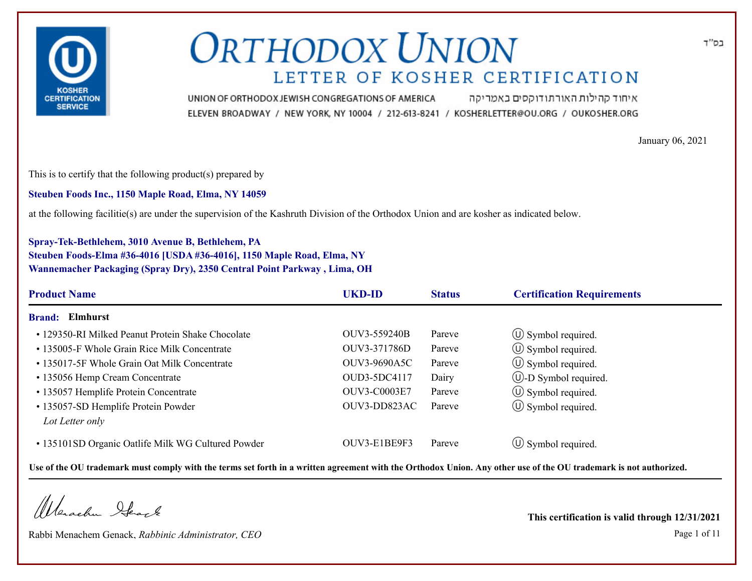

איחוד קהילות האורתודוקסים באמריקה UNION OF ORTHODOX JEWISH CONGREGATIONS OF AMERICA ELEVEN BROADWAY / NEW YORK, NY 10004 / 212-613-8241 / KOSHERLETTER@OU.ORG / OUKOSHER.ORG

January 06, 2021

This is to certify that the following product(s) prepared by

**Steuben Foods Inc., 1150 Maple Road, Elma, NY 14059**

at the following facilitie(s) are under the supervision of the Kashruth Division of the Orthodox Union and are kosher as indicated below.

### **Spray-Tek-Bethlehem, 3010 Avenue B, Bethlehem, PA Steuben Foods-Elma #36-4016 [USDA #36-4016], 1150 Maple Road, Elma, NY Wannemacher Packaging (Spray Dry), 2350 Central Point Parkway , Lima, OH**

| <b>Product Name</b>                                | <b>UKD-ID</b>       | <b>Status</b> | <b>Certification Requirements</b> |
|----------------------------------------------------|---------------------|---------------|-----------------------------------|
| Elmhurst<br><b>Brand:</b>                          |                     |               |                                   |
| • 129350-RI Milked Peanut Protein Shake Chocolate  | OUV3-559240B        | Pareve        | $\circ$ Symbol required.          |
| • 135005-F Whole Grain Rice Milk Concentrate       | OUV3-371786D        | Pareve        | $\circ$ Symbol required.          |
| • 135017-5F Whole Grain Oat Milk Concentrate       | <b>OUV3-9690A5C</b> | Pareve        | $\circled{1}$ Symbol required.    |
| • 135056 Hemp Cream Concentrate                    | OUD3-5DC4117        | Dairy         | <b>W</b> -D Symbol required.      |
| • 135057 Hemplife Protein Concentrate              | <b>OUV3-C0003E7</b> | Pareve        | $\circled{1}$ Symbol required.    |
| • 135057-SD Hemplife Protein Powder                | OUV3-DD823AC        | Pareve        | $\circled{1}$ Symbol required.    |
| Lot Letter only                                    |                     |               |                                   |
| • 135101SD Organic Oatlife Milk WG Cultured Powder | OUV3-E1BE9F3        | Pareve        | $\circ$ Symbol required.          |

**Use of the OU trademark must comply with the terms set forth in a written agreement with the Orthodox Union. Any other use of the OU trademark is not authorized.**

Werschn Heart

Rabbi Menachem Genack, *Rabbinic Administrator, CEO* Page 1 of 11

**This certification is valid through 12/31/2021**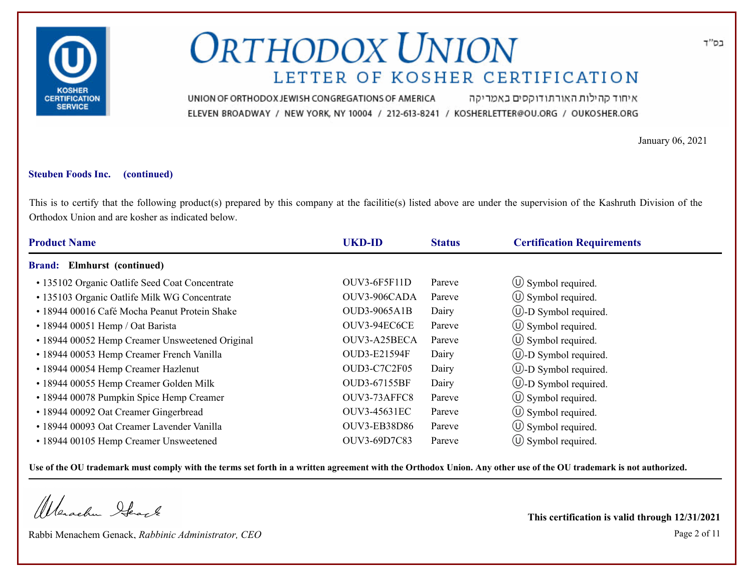

איחוד קהילות האורתודוקסים באמריקה UNION OF ORTHODOX JEWISH CONGREGATIONS OF AMERICA ELEVEN BROADWAY / NEW YORK, NY 10004 / 212-613-8241 / KOSHERLETTER@OU.ORG / OUKOSHER.ORG

January 06, 2021

#### **Steuben Foods Inc. (continued)**

This is to certify that the following product(s) prepared by this company at the facilitie(s) listed above are under the supervision of the Kashruth Division of the Orthodox Union and are kosher as indicated below.

| <b>Product Name</b>                             | <b>UKD-ID</b>       | <b>Status</b> | <b>Certification Requirements</b> |
|-------------------------------------------------|---------------------|---------------|-----------------------------------|
| Elmhurst (continued)<br><b>Brand:</b>           |                     |               |                                   |
| • 135102 Organic Oatlife Seed Coat Concentrate  | $OUV3-6F5F11D$      | Pareve        | $\circ$ Symbol required.          |
| · 135103 Organic Oatlife Milk WG Concentrate    | OUV3-906CADA        | Pareve        | $\circ$ Symbol required.          |
| • 18944 00016 Café Mocha Peanut Protein Shake   | <b>OUD3-9065A1B</b> | Dairy         | $\cup$ -D Symbol required.        |
| • 18944 00051 Hemp / Oat Barista                | OUV3-94EC6CE        | Pareve        | $\circled{1}$ Symbol required.    |
| • 18944 00052 Hemp Creamer Unsweetened Original | OUV3-A25BECA        | Pareve        | $\circ$ Symbol required.          |
| • 18944 00053 Hemp Creamer French Vanilla       | OUD3-E21594F        | Dairy         | $\bigcirc$ -D Symbol required.    |
| • 18944 00054 Hemp Creamer Hazlenut             | OUD3-C7C2F05        | Dairy         | $\cup$ -D Symbol required.        |
| • 18944 00055 Hemp Creamer Golden Milk          | OUD3-67155BF        | Dairy         | $\cup$ -D Symbol required.        |
| • 18944 00078 Pumpkin Spice Hemp Creamer        | OUV3-73AFFC8        | Pareve        | $\circ$ Symbol required.          |
| • 18944 00092 Oat Creamer Gingerbread           | OUV3-45631EC        | Pareve        | $\circ$ Symbol required.          |
| • 18944 00093 Oat Creamer Lavender Vanilla      | <b>OUV3-EB38D86</b> | Pareve        | $\circ$ Symbol required.          |
| • 18944 00105 Hemp Creamer Unsweetened          | OUV3-69D7C83        | Pareve        | $\circ$ Symbol required.          |

**Use of the OU trademark must comply with the terms set forth in a written agreement with the Orthodox Union. Any other use of the OU trademark is not authorized.**

Werschn Stack

Rabbi Menachem Genack, *Rabbinic Administrator, CEO* Page 2 of 11

**This certification is valid through 12/31/2021**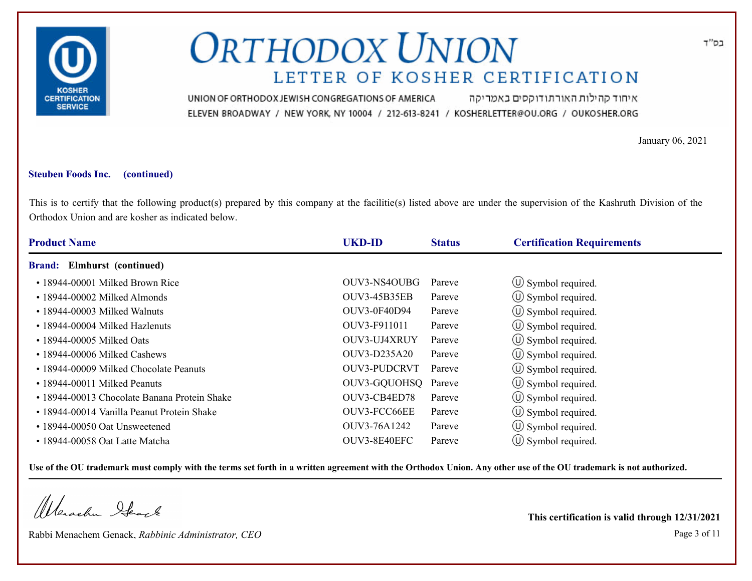

איחוד קהילות האורתודוקסים באמריקה UNION OF ORTHODOX JEWISH CONGREGATIONS OF AMERICA ELEVEN BROADWAY / NEW YORK, NY 10004 / 212-613-8241 / KOSHERLETTER@OU.ORG / OUKOSHER.ORG

January 06, 2021

#### **Steuben Foods Inc. (continued)**

This is to certify that the following product(s) prepared by this company at the facilitie(s) listed above are under the supervision of the Kashruth Division of the Orthodox Union and are kosher as indicated below.

| <b>Product Name</b>                          | <b>UKD-ID</b>       | <b>Status</b> | <b>Certification Requirements</b> |  |
|----------------------------------------------|---------------------|---------------|-----------------------------------|--|
| <b>Brand:</b> Elmhurst (continued)           |                     |               |                                   |  |
| • 18944-00001 Milked Brown Rice              | OUV3-NS4OUBG        | Pareve        | $\circ$ Symbol required.          |  |
| $\cdot$ 18944-00002 Milked Almonds           | <b>OUV3-45B35EB</b> | Pareve        | $\circled{1}$ Symbol required.    |  |
| $\cdot$ 18944-00003 Milked Walnuts           | <b>OUV3-0F40D94</b> | Pareve        | $\circled{1}$ Symbol required.    |  |
| • 18944-00004 Milked Hazlenuts               | OUV3-F911011        | Pareve        | $\circled{1}$ Symbol required.    |  |
| $\cdot$ 18944-00005 Milked Oats              | OUV3-UJ4XRUY        | Pareve        | $\circ$ Symbol required.          |  |
| $\cdot$ 18944-00006 Milked Cashews           | OUV3-D235A20        | Pareve        | (U) Symbol required.              |  |
| • 18944-00009 Milked Chocolate Peanuts       | <b>OUV3-PUDCRVT</b> | Pareve        | $\circ$ Symbol required.          |  |
| • 18944-00011 Milked Peanuts                 | OUV3-GQUOHSQ Pareve |               | (U) Symbol required.              |  |
| • 18944-00013 Chocolate Banana Protein Shake | OUV3-CB4ED78        | Pareve        | $\circ$ Symbol required.          |  |
| • 18944-00014 Vanilla Peanut Protein Shake   | OUV3-FCC66EE        | Pareve        | $\circ$ Symbol required.          |  |
| $\cdot$ 18944-00050 Oat Unsweetened          | OUV3-76A1242        | Pareve        | $\circ$ Symbol required.          |  |
| • 18944-00058 Oat Latte Matcha               | OUV3-8E40EFC        | Pareve        | $\circ$ Symbol required.          |  |

**Use of the OU trademark must comply with the terms set forth in a written agreement with the Orthodox Union. Any other use of the OU trademark is not authorized.**

Werachen Stack

Rabbi Menachem Genack, *Rabbinic Administrator, CEO* Page 3 of 11

**This certification is valid through 12/31/2021**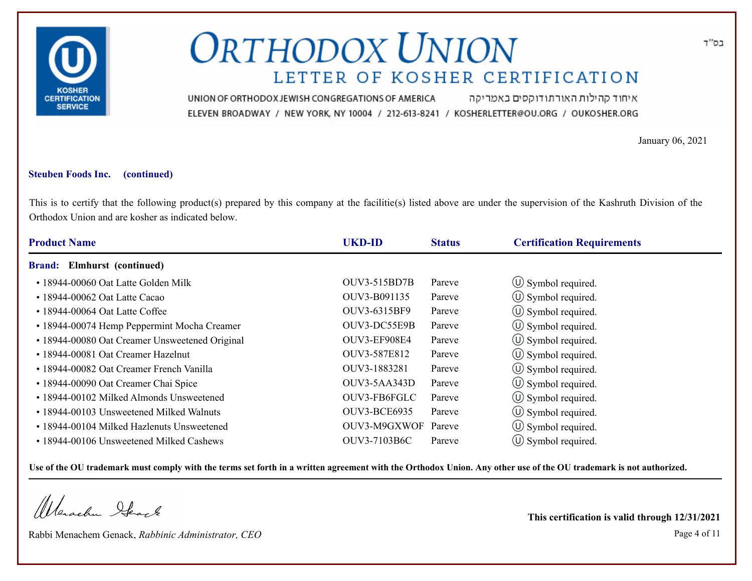

איחוד קהילות האורתודוקסים באמריקה UNION OF ORTHODOX JEWISH CONGREGATIONS OF AMERICA ELEVEN BROADWAY / NEW YORK, NY 10004 / 212-613-8241 / KOSHERLETTER@OU.ORG / OUKOSHER.ORG

January 06, 2021

#### **Steuben Foods Inc. (continued)**

This is to certify that the following product(s) prepared by this company at the facilitie(s) listed above are under the supervision of the Kashruth Division of the Orthodox Union and are kosher as indicated below.

| <b>Product Name</b>                            | <b>UKD-ID</b>       | <b>Status</b> | <b>Certification Requirements</b> |
|------------------------------------------------|---------------------|---------------|-----------------------------------|
| <b>Brand:</b> Elmhurst (continued)             |                     |               |                                   |
| • 18944-00060 Oat Latte Golden Milk            | OUV3-515BD7B        | Pareve        | $\circ$ Symbol required.          |
| $\cdot$ 18944-00062 Oat Latte Cacao            | OUV3-B091135        | Pareve        | $\circled{1}$ Symbol required.    |
| $\cdot$ 18944-00064 Oat Latte Coffee           | OUV3-6315BF9        | Pareve        | $\circled{1}$ Symbol required.    |
| • 18944-00074 Hemp Peppermint Mocha Creamer    | OUV3-DC55E9B        | Pareve        | $\circ$ Symbol required.          |
| • 18944-00080 Oat Creamer Unsweetened Original | OUV3-EF908E4        | Pareve        | $\circ$ Symbol required.          |
| • 18944-00081 Oat Creamer Hazelnut             | OUV3-587E812        | Pareve        | (U) Symbol required.              |
| • 18944-00082 Oat Creamer French Vanilla       | OUV3-1883281        | Pareve        | $\circled{1}$ Symbol required.    |
| • 18944-00090 Oat Creamer Chai Spice           | OUV3-5AA343D        | Pareve        | (U) Symbol required.              |
| • 18944-00102 Milked Almonds Unsweetened       | OUV3-FB6FGLC        | Pareve        | $\circ$ Symbol required.          |
| • 18944-00103 Unsweetened Milked Walnuts       | OUV3-BCE6935        | Pareve        | (U) Symbol required.              |
| • 18944-00104 Milked Hazlenuts Unsweetened     | OUV3-M9GXWOF Pareve |               | $\circ$ Symbol required.          |
| • 18944-00106 Unsweetened Milked Cashews       | OUV3-7103B6C        | Pareve        | $\circ$ Symbol required.          |

**Use of the OU trademark must comply with the terms set forth in a written agreement with the Orthodox Union. Any other use of the OU trademark is not authorized.**

Werachen Stack

Rabbi Menachem Genack, *Rabbinic Administrator, CEO* Page 4 of 11 **This certification is valid through 12/31/2021**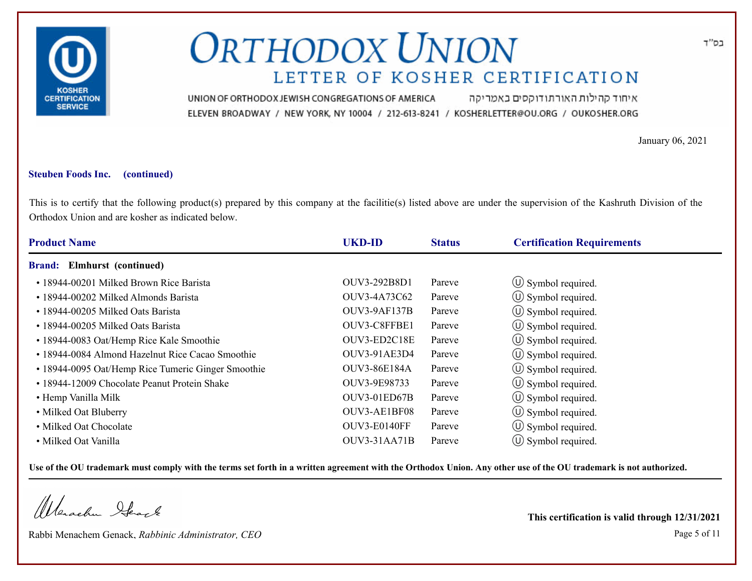

איחוד קהילות האורתודוקסים באמריקה UNION OF ORTHODOX JEWISH CONGREGATIONS OF AMERICA ELEVEN BROADWAY / NEW YORK, NY 10004 / 212-613-8241 / KOSHERLETTER@OU.ORG / OUKOSHER.ORG

January 06, 2021

#### **Steuben Foods Inc. (continued)**

This is to certify that the following product(s) prepared by this company at the facilitie(s) listed above are under the supervision of the Kashruth Division of the Orthodox Union and are kosher as indicated below.

| <b>Product Name</b>                                | <b>UKD-ID</b>       | <b>Status</b> | <b>Certification Requirements</b> |  |
|----------------------------------------------------|---------------------|---------------|-----------------------------------|--|
| <b>Brand:</b> Elmhurst (continued)                 |                     |               |                                   |  |
| • 18944-00201 Milked Brown Rice Barista            | OUV3-292B8D1        | Pareve        | $\circ$ Symbol required.          |  |
| • 18944-00202 Milked Almonds Barista               | OUV3-4A73C62        | Pareve        | $\circ$ Symbol required.          |  |
| • 18944-00205 Milked Oats Barista                  | OUV3-9AF137B        | Pareve        | $\circled{1}$ Symbol required.    |  |
| • 18944-00205 Milked Oats Barista                  | OUV3-C8FFBE1        | Pareve        | $\circled{1}$ Symbol required.    |  |
| • 18944-0083 Oat/Hemp Rice Kale Smoothie           | OUV3-ED2C18E        | Pareve        | $\circled{1}$ Symbol required.    |  |
| • 18944-0084 Almond Hazelnut Rice Cacao Smoothie   | <b>OUV3-91AE3D4</b> | Pareve        | (U) Symbol required.              |  |
| • 18944-0095 Oat/Hemp Rice Tumeric Ginger Smoothie | OUV3-86E184A        | Pareve        | $\circled{1}$ Symbol required.    |  |
| • 18944-12009 Chocolate Peanut Protein Shake       | OUV3-9E98733        | Pareve        | (U) Symbol required.              |  |
| • Hemp Vanilla Milk                                | OUV3-01ED67B        | Pareve        | $\circ$ Symbol required.          |  |
| • Milked Oat Bluberry                              | OUV3-AE1BF08        | Pareve        | (U) Symbol required.              |  |
| • Milked Oat Chocolate                             | OUV3-E0140FF        | Pareve        | $\circ$ Symbol required.          |  |
| • Milked Oat Vanilla                               | OUV3-31AA71B        | Pareve        | $\circ$ Symbol required.          |  |

**Use of the OU trademark must comply with the terms set forth in a written agreement with the Orthodox Union. Any other use of the OU trademark is not authorized.**

Werachen Stack

Rabbi Menachem Genack, *Rabbinic Administrator, CEO* Page 5 of 11

**This certification is valid through 12/31/2021**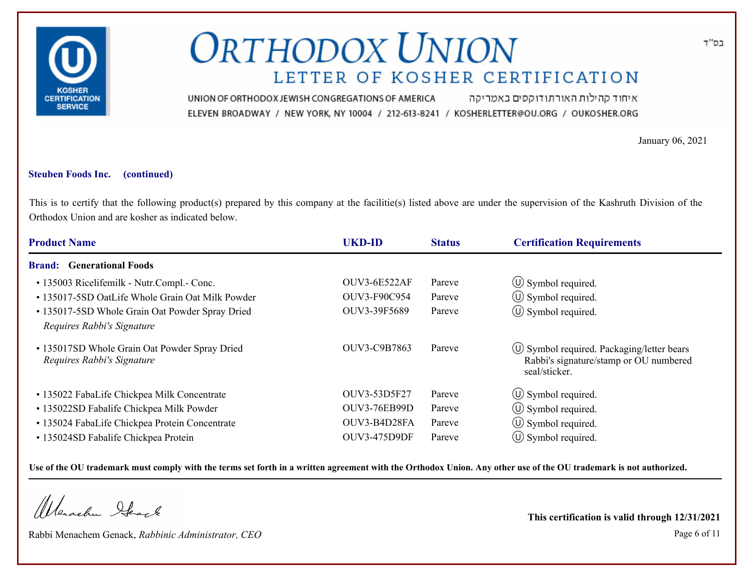

איחוד קהילות האורתודוקסים באמריקה UNION OF ORTHODOX JEWISH CONGREGATIONS OF AMERICA ELEVEN BROADWAY / NEW YORK, NY 10004 / 212-613-8241 / KOSHERLETTER@OU.ORG / OUKOSHER.ORG

January 06, 2021

#### **Steuben Foods Inc. (continued)**

This is to certify that the following product(s) prepared by this company at the facilitie(s) listed above are under the supervision of the Kashruth Division of the Orthodox Union and are kosher as indicated below.

| <b>Product Name</b>                                                         | <b>UKD-ID</b>       | <b>Status</b> | <b>Certification Requirements</b>                                                                          |
|-----------------------------------------------------------------------------|---------------------|---------------|------------------------------------------------------------------------------------------------------------|
| <b>Generational Foods</b><br><b>Brand:</b>                                  |                     |               |                                                                                                            |
| • 135003 Ricelifemilk - Nutr.Compl.- Conc.                                  | <b>OUV3-6E522AF</b> | Pareve        | $\circ$ Symbol required.                                                                                   |
| • 135017-5SD OatLife Whole Grain Oat Milk Powder                            | OUV3-F90C954        | Pareve        | $\circ$ Symbol required.                                                                                   |
| • 135017-5SD Whole Grain Oat Powder Spray Dried                             | OUV3-39F5689        | Pareve        | $\circled{0}$ Symbol required.                                                                             |
| Requires Rabbi's Signature                                                  |                     |               |                                                                                                            |
| • 135017SD Whole Grain Oat Powder Spray Dried<br>Requires Rabbi's Signature | OUV3-C9B7863        | Pareve        | $\circ$ Symbol required. Packaging/letter bears<br>Rabbi's signature/stamp or OU numbered<br>seal/sticker. |
| • 135022 FabaLife Chickpea Milk Concentrate                                 | OUV3-53D5F27        | Pareve        | $\circled{1}$ Symbol required.                                                                             |
| • 135022SD Fabalife Chickpea Milk Powder                                    | <b>OUV3-76EB99D</b> | Pareve        | $\circ$ Symbol required.                                                                                   |
| • 135024 FabaLife Chickpea Protein Concentrate                              | OUV3-B4D28FA        | Pareve        | $\circ$ Symbol required.                                                                                   |
| • 135024SD Fabalife Chickpea Protein                                        | <b>OUV3-475D9DF</b> | Pareve        | $\circ$ Symbol required.                                                                                   |

**Use of the OU trademark must comply with the terms set forth in a written agreement with the Orthodox Union. Any other use of the OU trademark is not authorized.**

Werachen Ifearle

Rabbi Menachem Genack, *Rabbinic Administrator, CEO* Page 6 of 11

**This certification is valid through 12/31/2021**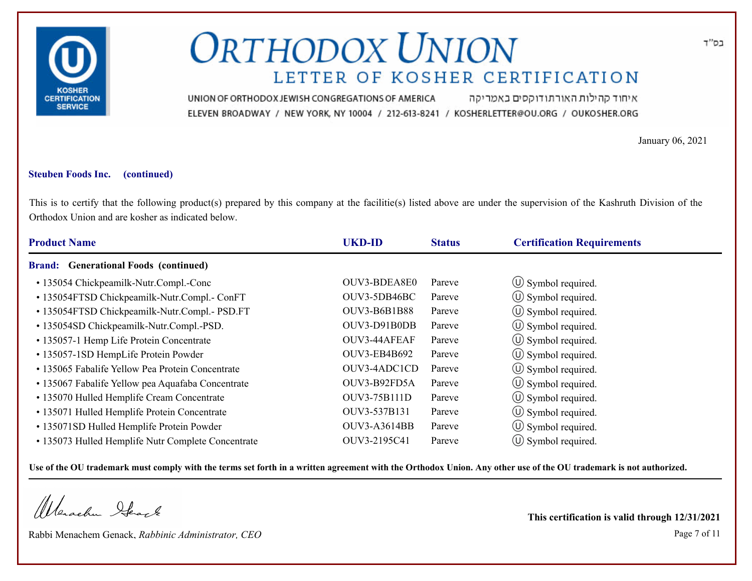

איחוד קהילות האורתודוקסים באמריקה UNION OF ORTHODOX JEWISH CONGREGATIONS OF AMERICA ELEVEN BROADWAY / NEW YORK, NY 10004 / 212-613-8241 / KOSHERLETTER@OU.ORG / OUKOSHER.ORG

January 06, 2021

#### **Steuben Foods Inc. (continued)**

This is to certify that the following product(s) prepared by this company at the facilitie(s) listed above are under the supervision of the Kashruth Division of the Orthodox Union and are kosher as indicated below.

| <b>Product Name</b>                                | <b>UKD-ID</b>       | <b>Status</b> | <b>Certification Requirements</b> |  |  |
|----------------------------------------------------|---------------------|---------------|-----------------------------------|--|--|
| <b>Brand:</b> Generational Foods (continued)       |                     |               |                                   |  |  |
| • 135054 Chickpeamilk-Nutr.Compl.-Conc             | OUV3-BDEA8E0        | Pareve        | $\circ$ Symbol required.          |  |  |
| • 135054FTSD Chickpeamilk-Nutr.Compl.- ConFT       | OUV3-5DB46BC        | Pareve        | $\circled{1}$ Symbol required.    |  |  |
| • 135054FTSD Chickpeamilk-Nutr.Compl.- PSD.FT      | <b>OUV3-B6B1B88</b> | Pareve        | $\circled{0}$ Symbol required.    |  |  |
| • 135054SD Chickpeamilk-Nutr.Compl.-PSD.           | OUV3-D91B0DB        | Pareve        | $\circ$ Symbol required.          |  |  |
| • 135057-1 Hemp Life Protein Concentrate           | OUV3-44AFEAF        | Pareve        | $\circ$ Symbol required.          |  |  |
| • 135057-1SD HempLife Protein Powder               | <b>OUV3-EB4B692</b> | Pareve        | $\circ$ Symbol required.          |  |  |
| • 135065 Fabalife Yellow Pea Protein Concentrate   | OUV3-4ADC1CD        | Pareve        | $\circ$ Symbol required.          |  |  |
| • 135067 Fabalife Yellow pea Aquafaba Concentrate  | OUV3-B92FD5A        | Pareve        | (U) Symbol required.              |  |  |
| · 135070 Hulled Hemplife Cream Concentrate         | OUV3-75B111D        | Pareve        | $\circ$ Symbol required.          |  |  |
| • 135071 Hulled Hemplife Protein Concentrate       | OUV3-537B131        | Pareve        | $\circ$ Symbol required.          |  |  |
| • 135071SD Hulled Hemplife Protein Powder          | <b>OUV3-A3614BB</b> | Pareve        | $\circled{1}$ Symbol required.    |  |  |
| • 135073 Hulled Hemplife Nutr Complete Concentrate | OUV3-2195C41        | Pareve        | $\circ$ Symbol required.          |  |  |

**Use of the OU trademark must comply with the terms set forth in a written agreement with the Orthodox Union. Any other use of the OU trademark is not authorized.**

Werachen Stack

Rabbi Menachem Genack, *Rabbinic Administrator, CEO* Page 7 of 11

**This certification is valid through 12/31/2021**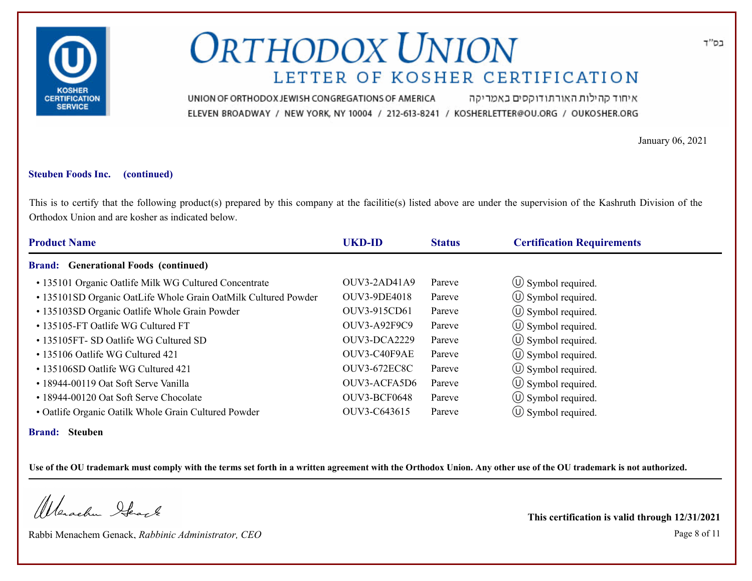

איחוד קהילות האורתודוקסים באמריקה UNION OF ORTHODOX JEWISH CONGREGATIONS OF AMERICA ELEVEN BROADWAY / NEW YORK, NY 10004 / 212-613-8241 / KOSHERLETTER@OU.ORG / OUKOSHER.ORG

January 06, 2021

#### **Steuben Foods Inc. (continued)**

This is to certify that the following product(s) prepared by this company at the facilitie(s) listed above are under the supervision of the Kashruth Division of the Orthodox Union and are kosher as indicated below.

| <b>Product Name</b>                                            | <b>UKD-ID</b>       | <b>Status</b> | <b>Certification Requirements</b> |
|----------------------------------------------------------------|---------------------|---------------|-----------------------------------|
| <b>Brand:</b> Generational Foods (continued)                   |                     |               |                                   |
| • 135101 Organic Oatlife Milk WG Cultured Concentrate          | OUV3-2AD41A9        | Pareve        | $\circ$ Symbol required.          |
| • 135101SD Organic OatLife Whole Grain OatMilk Cultured Powder | <b>OUV3-9DE4018</b> | Pareve        | $\circled{1}$ Symbol required.    |
| • 135103SD Organic Oatlife Whole Grain Powder                  | OUV3-915CD61        | Pareve        | $\circled{1}$ Symbol required.    |
| • 135105-FT Oatlife WG Cultured FT                             | <b>OUV3-A92F9C9</b> | Pareve        | $\circled{1}$ Symbol required.    |
| • 135105FT- SD Oatlife WG Cultured SD                          | OUV3-DCA2229        | Pareve        | $\circled{1}$ Symbol required.    |
| • 135106 Oatlife WG Cultured 421                               | OUV3-C40F9AE        | Pareve        | $\circ$ Symbol required.          |
| • 135106SD Oatlife WG Cultured 421                             | <b>OUV3-672EC8C</b> | Pareve        | $\circ$ Symbol required.          |
| • 18944-00119 Oat Soft Serve Vanilla                           | OUV3-ACFA5D6        | Pareve        | $\circled{1}$ Symbol required.    |
| • 18944-00120 Oat Soft Serve Chocolate                         | OUV3-BCF0648        | Pareve        | $\circled{1}$ Symbol required.    |
| • Oatlife Organic Oatilk Whole Grain Cultured Powder           | OUV3-C643615        | Pareve        | $\circ$ Symbol required.          |
|                                                                |                     |               |                                   |

**Brand: Steuben**

**Use of the OU trademark must comply with the terms set forth in a written agreement with the Orthodox Union. Any other use of the OU trademark is not authorized.**

Werachen Ifearle

Rabbi Menachem Genack, *Rabbinic Administrator, CEO* Page 8 of 11

**This certification is valid through 12/31/2021**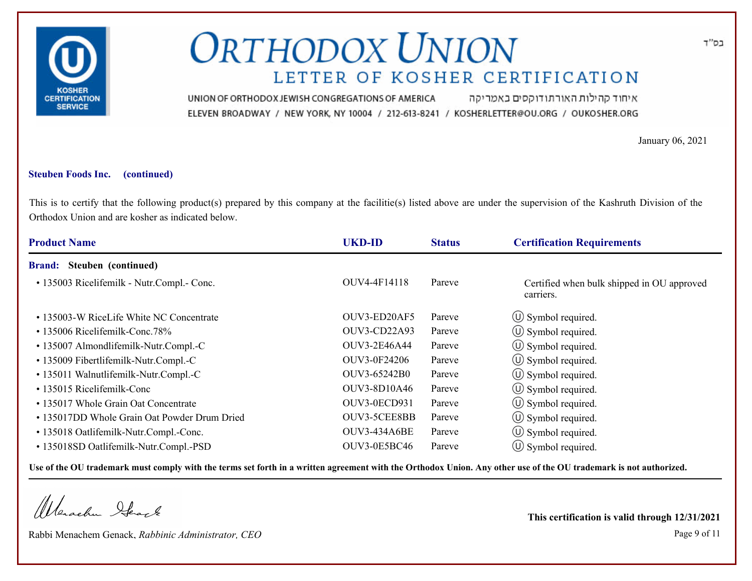

איחוד קהילות האורתודוקסים באמריקה UNION OF ORTHODOX JEWISH CONGREGATIONS OF AMERICA ELEVEN BROADWAY / NEW YORK, NY 10004 / 212-613-8241 / KOSHERLETTER@OU.ORG / OUKOSHER.ORG

January 06, 2021

#### **Steuben Foods Inc. (continued)**

This is to certify that the following product(s) prepared by this company at the facilitie(s) listed above are under the supervision of the Kashruth Division of the Orthodox Union and are kosher as indicated below.

| <b>Product Name</b>                          | <b>UKD-ID</b>       | <b>Status</b> | <b>Certification Requirements</b>                       |
|----------------------------------------------|---------------------|---------------|---------------------------------------------------------|
| Steuben (continued)<br><b>Brand:</b>         |                     |               |                                                         |
| • 135003 Ricelifemilk - Nutr.Compl.- Conc.   | OUV4-4F14118        | Pareve        | Certified when bulk shipped in OU approved<br>carriers. |
| • 135003-W RiceLife White NC Concentrate     | OUV3-ED20AF5        | Pareve        | $\circ$ Symbol required.                                |
| $\cdot$ 135006 Ricelifemilk-Conc.78%         | OUV3-CD22A93        | Pareve        | $\circ$ Symbol required.                                |
| · 135007 Almondlifemilk-Nutr.Compl.-C        | <b>OUV3-2E46A44</b> | Pareve        | $\circled{1}$ Symbol required.                          |
| • 135009 Fibertlifemilk-Nutr.Compl.-C        | OUV3-0F24206        | Pareve        | $\left(\bigcup$ Symbol required.                        |
| • 135011 Walnutlifemilk-Nutr.Compl.-C        | OUV3-65242B0        | Pareve        | $\circ$ Symbol required.                                |
| • 135015 Ricelifemilk-Conc                   | <b>OUV3-8D10A46</b> | Pareve        | $\circ$ Symbol required.                                |
| • 135017 Whole Grain Oat Concentrate         | OUV3-0ECD931        | Pareve        | $\circled{1}$ Symbol required.                          |
| • 135017DD Whole Grain Oat Powder Drum Dried | OUV3-5CEE8BB        | Pareve        | $\circled{1}$ Symbol required.                          |
| • 135018 Oatlifemilk-Nutr.Compl.-Conc.       | <b>OUV3-434A6BE</b> | Pareve        | $\left(\bigcup$ Symbol required.                        |
| • 135018SD Oatlifemilk-Nutr.Compl.-PSD       | <b>OUV3-0E5BC46</b> | Pareve        | $\circ$ Symbol required.                                |

**Use of the OU trademark must comply with the terms set forth in a written agreement with the Orthodox Union. Any other use of the OU trademark is not authorized.**

Werachen Ifearle

Rabbi Menachem Genack, *Rabbinic Administrator, CEO* Page 9 of 11

**This certification is valid through 12/31/2021**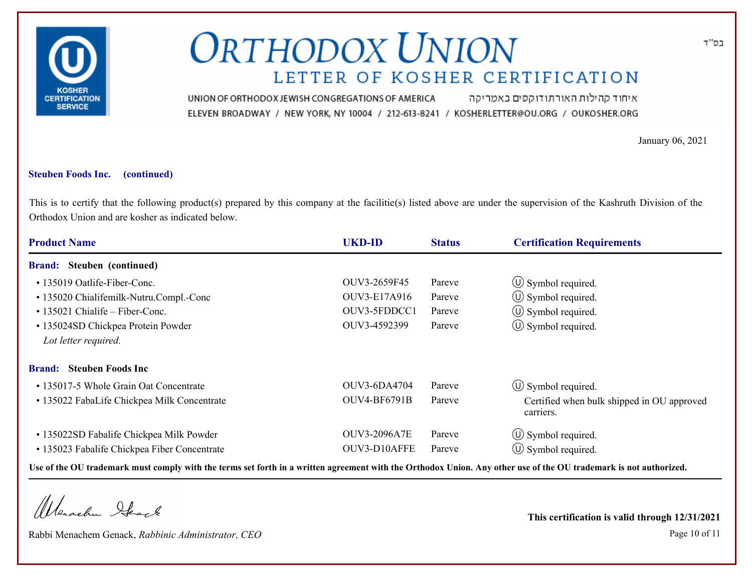

איחוד קהילות האורתודוקסים באמריקה UNION OF ORTHODOX JEWISH CONGREGATIONS OF AMERICA ELEVEN BROADWAY / NEW YORK, NY 10004 / 212-613-8241 / KOSHERLETTER@OU.ORG / OUKOSHER.ORG

January 06, 2021

#### **Steuben Foods Inc. (continued)**

This is to certify that the following product(s) prepared by this company at the facilitie(s) listed above are under the supervision of the Kashruth Division of the Orthodox Union and are kosher as indicated below.

| <b>Product Name</b>                                                                      | <b>UKD-ID</b>                       | <b>Status</b>    | <b>Certification Requirements</b>                          |
|------------------------------------------------------------------------------------------|-------------------------------------|------------------|------------------------------------------------------------|
| <b>Brand:</b> Steuben (continued)                                                        |                                     |                  |                                                            |
| • 135019 Oatlife-Fiber-Conc.<br>• 135020 Chialifemilk-Nutru.Compl.-Conc                  | OUV3-2659F45<br>OUV3-E17A916        | Pareve<br>Pareve | $\circ$ Symbol required.<br>$\circ$ Symbol required.       |
| • 135021 Chialife – Fiber-Conc.                                                          | OUV3-5FDDCC1                        | Pareve           | $\circ$ Symbol required.                                   |
| • 135024SD Chickpea Protein Powder<br>Lot letter required.                               | OUV3-4592399                        | Pareve           | $\circled{1}$ Symbol required.                             |
| <b>Brand:</b> Steuben Foods Inc                                                          |                                     |                  |                                                            |
| • 135017-5 Whole Grain Oat Concentrate                                                   | OUV3-6DA4704                        | Pareve           | $\circled{0}$ Symbol required.                             |
| • 135022 FabaLife Chickpea Milk Concentrate                                              | OUV4-BF6791B                        | Pareve           | Certified when bulk shipped in OU approved<br>carriers.    |
| • 135022SD Fabalife Chickpea Milk Powder<br>• 135023 Fabalife Chickpea Fiber Concentrate | <b>OUV3-2096A7E</b><br>OUV3-D10AFFE | Pareve<br>Pareve | $\circ$ Symbol required.<br>$\circled{1}$ Symbol required. |

**Use of the OU trademark must comply with the terms set forth in a written agreement with the Orthodox Union. Any other use of the OU trademark is not authorized.**

Werachen Ifearle

Rabbi Menachem Genack, *Rabbinic Administrator, CEO* Page 10 of 11

**This certification is valid through 12/31/2021**